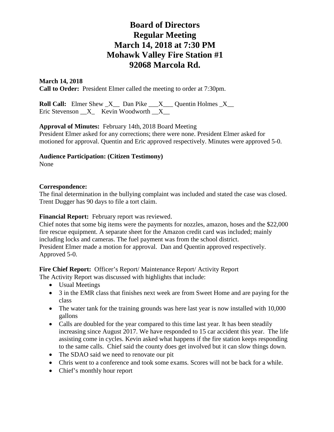# **Board of Directors Regular Meeting March 14, 2018 at 7:30 PM Mohawk Valley Fire Station #1 92068 Marcola Rd.**

# **March 14, 2018**

**Call to Order:** President Elmer called the meeting to order at 7:30pm.

**Roll Call:** Elmer Shew  $X$  Dan Pike  $X$  Quentin Holmes  $X$ Eric Stevenson  $X$  Kevin Woodworth  $X$ 

### **Approval of Minutes:** February 14th, 2018 Board Meeting

President Elmer asked for any corrections; there were none. President Elmer asked for motioned for approval. Quentin and Eric approved respectively. Minutes were approved 5-0.

### **Audience Participation: (Citizen Testimony)**

None

### **Correspondence:**

The final determination in the bullying complaint was included and stated the case was closed. Trent Dugger has 90 days to file a tort claim.

#### **Financial Report:** February report was reviewed.

Chief notes that some big items were the payments for nozzles, amazon, hoses and the \$22,000 fire rescue equipment. A separate sheet for the Amazon credit card was included; mainly including locks and cameras. The fuel payment was from the school district. President Elmer made a motion for approval. Dan and Quentin approved respectively. Approved 5-0.

Fire Chief Report: Officer's Report/ Maintenance Report/ Activity Report

- The Activity Report was discussed with highlights that include:
	- Usual Meetings
	- 3 in the EMR class that finishes next week are from Sweet Home and are paying for the class
	- The water tank for the training grounds was here last year is now installed with 10,000 gallons
	- Calls are doubled for the year compared to this time last year. It has been steadily increasing since August 2017. We have responded to 15 car accident this year. The life assisting come in cycles. Kevin asked what happens if the fire station keeps responding to the same calls. Chief said the county does get involved but it can slow things down.
	- The SDAO said we need to renovate our pit
	- Chris went to a conference and took some exams. Scores will not be back for a while.
	- Chief's monthly hour report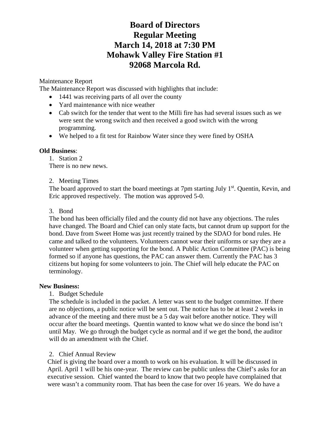# **Board of Directors Regular Meeting March 14, 2018 at 7:30 PM Mohawk Valley Fire Station #1 92068 Marcola Rd.**

# Maintenance Report

The Maintenance Report was discussed with highlights that include:

- 1441 was receiving parts of all over the county
- Yard maintenance with nice weather
- Cab switch for the tender that went to the Milli fire has had several issues such as we were sent the wrong switch and then received a good switch with the wrong programming.
- We helped to a fit test for Rainbow Water since they were fined by OSHA

## **Old Business**:

1. Station 2 There is no new news.

## 2. Meeting Times

The board approved to start the board meetings at 7pm starting July  $1<sup>st</sup>$ . Quentin, Kevin, and Eric approved respectively. The motion was approved 5-0.

## 3. Bond

The bond has been officially filed and the county did not have any objections. The rules have changed. The Board and Chief can only state facts, but cannot drum up support for the bond. Dave from Sweet Home was just recently trained by the SDAO for bond rules. He came and talked to the volunteers. Volunteers cannot wear their uniforms or say they are a volunteer when getting supporting for the bond. A Public Action Committee (PAC) is being formed so if anyone has questions, the PAC can answer them. Currently the PAC has 3 citizens but hoping for some volunteers to join. The Chief will help educate the PAC on terminology.

## **New Business:**

1. Budget Schedule

The schedule is included in the packet. A letter was sent to the budget committee. If there are no objections, a public notice will be sent out. The notice has to be at least 2 weeks in advance of the meeting and there must be a 5 day wait before another notice. They will occur after the board meetings. Quentin wanted to know what we do since the bond isn't until May. We go through the budget cycle as normal and if we get the bond, the auditor will do an amendment with the Chief.

## 2. Chief Annual Review

Chief is giving the board over a month to work on his evaluation. It will be discussed in April. April 1 will be his one-year. The review can be public unless the Chief's asks for an executive session. Chief wanted the board to know that two people have complained that were wasn't a community room. That has been the case for over 16 years. We do have a